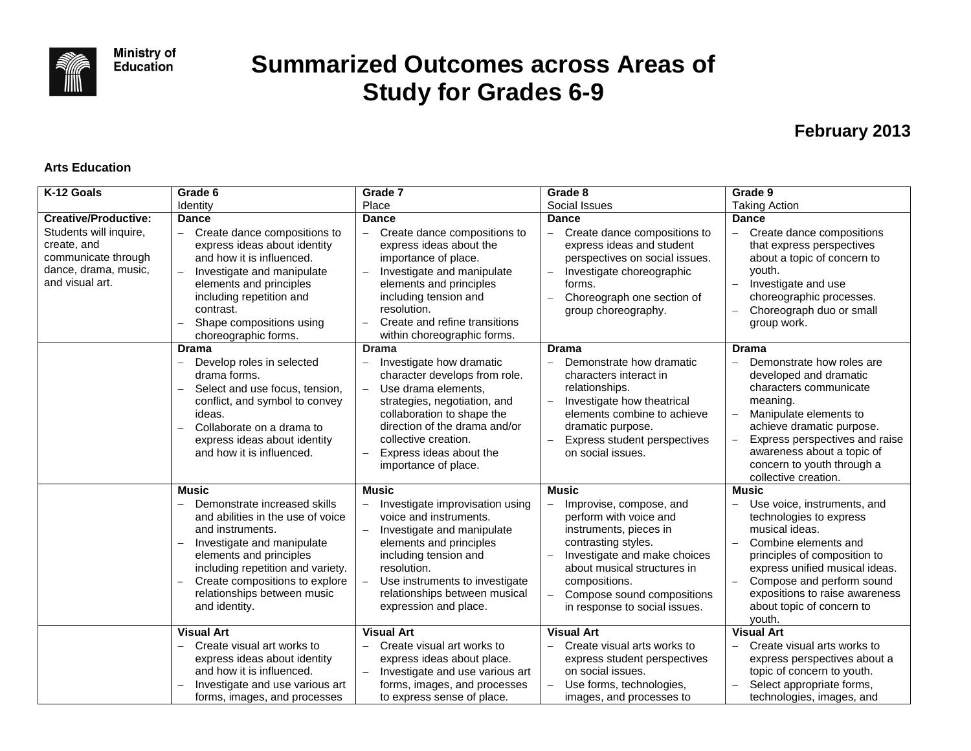

# **Summarized Outcomes across Areas of Study for Grades 6-9**

# **February 2013**

#### **Arts Education**

| K-12 Goals                                                                                                                             | Grade 6                                                                                                                                                                                                                                                                                                 | Grade 7                                                                                                                                                                                                                                                                                                | Grade 8                                                                                                                                                                                                                                                    | Grade 9                                                                                                                                                                                                                                                                           |
|----------------------------------------------------------------------------------------------------------------------------------------|---------------------------------------------------------------------------------------------------------------------------------------------------------------------------------------------------------------------------------------------------------------------------------------------------------|--------------------------------------------------------------------------------------------------------------------------------------------------------------------------------------------------------------------------------------------------------------------------------------------------------|------------------------------------------------------------------------------------------------------------------------------------------------------------------------------------------------------------------------------------------------------------|-----------------------------------------------------------------------------------------------------------------------------------------------------------------------------------------------------------------------------------------------------------------------------------|
|                                                                                                                                        | Identity                                                                                                                                                                                                                                                                                                | Place                                                                                                                                                                                                                                                                                                  | Social Issues                                                                                                                                                                                                                                              | <b>Taking Action</b>                                                                                                                                                                                                                                                              |
| <b>Creative/Productive:</b><br>Students will inquire,<br>create, and<br>communicate through<br>dance, drama, music,<br>and visual art. | <b>Dance</b><br>Create dance compositions to<br>$\overline{\phantom{0}}$<br>express ideas about identity<br>and how it is influenced.<br>Investigate and manipulate<br>$\equiv$<br>elements and principles<br>including repetition and<br>contrast.<br>Shape compositions using<br>choreographic forms. | <b>Dance</b><br>Create dance compositions to<br>express ideas about the<br>importance of place.<br>Investigate and manipulate<br>elements and principles<br>including tension and<br>resolution.<br>Create and refine transitions<br>within choreographic forms.                                       | <b>Dance</b><br>Create dance compositions to<br>express ideas and student<br>perspectives on social issues.<br>Investigate choreographic<br>forms.<br>Choreograph one section of<br>group choreography.                                                    | <b>Dance</b><br>Create dance compositions<br>that express perspectives<br>about a topic of concern to<br>youth.<br>Investigate and use<br>choreographic processes.<br>Choreograph duo or small<br>group work.                                                                     |
|                                                                                                                                        | <b>Drama</b><br>Develop roles in selected<br>drama forms.<br>Select and use focus, tension,<br>conflict, and symbol to convey<br>ideas.<br>Collaborate on a drama to<br>express ideas about identity<br>and how it is influenced.                                                                       | <b>Drama</b><br>Investigate how dramatic<br>character develops from role.<br>Use drama elements,<br>$\overline{\phantom{0}}$<br>strategies, negotiation, and<br>collaboration to shape the<br>direction of the drama and/or<br>collective creation.<br>Express ideas about the<br>importance of place. | <b>Drama</b><br>Demonstrate how dramatic<br>characters interact in<br>relationships.<br>Investigate how theatrical<br>elements combine to achieve<br>dramatic purpose.<br>Express student perspectives<br>on social issues.                                | Drama<br>Demonstrate how roles are<br>developed and dramatic<br>characters communicate<br>meaning.<br>Manipulate elements to<br>achieve dramatic purpose.<br>Express perspectives and raise<br>awareness about a topic of<br>concern to youth through a<br>collective creation.   |
|                                                                                                                                        | <b>Music</b><br>Demonstrate increased skills<br>and abilities in the use of voice<br>and instruments.<br>Investigate and manipulate<br>elements and principles<br>including repetition and variety.<br>Create compositions to explore<br>relationships between music<br>and identity.                   | <b>Music</b><br>Investigate improvisation using<br>voice and instruments.<br>Investigate and manipulate<br>elements and principles<br>including tension and<br>resolution.<br>Use instruments to investigate<br>relationships between musical<br>expression and place.                                 | Music<br>Improvise, compose, and<br>perform with voice and<br>instruments, pieces in<br>contrasting styles.<br>Investigate and make choices<br>about musical structures in<br>compositions.<br>Compose sound compositions<br>in response to social issues. | Music<br>Use voice, instruments, and<br>technologies to express<br>musical ideas.<br>Combine elements and<br>principles of composition to<br>express unified musical ideas.<br>Compose and perform sound<br>expositions to raise awareness<br>about topic of concern to<br>youth. |
|                                                                                                                                        | <b>Visual Art</b><br>Create visual art works to<br>express ideas about identity<br>and how it is influenced.<br>Investigate and use various art<br>forms, images, and processes                                                                                                                         | <b>Visual Art</b><br>Create visual art works to<br>express ideas about place.<br>Investigate and use various art<br>forms, images, and processes<br>to express sense of place.                                                                                                                         | <b>Visual Art</b><br>Create visual arts works to<br>express student perspectives<br>on social issues.<br>Use forms, technologies,<br>images, and processes to                                                                                              | <b>Visual Art</b><br>Create visual arts works to<br>express perspectives about a<br>topic of concern to youth.<br>Select appropriate forms,<br>technologies, images, and                                                                                                          |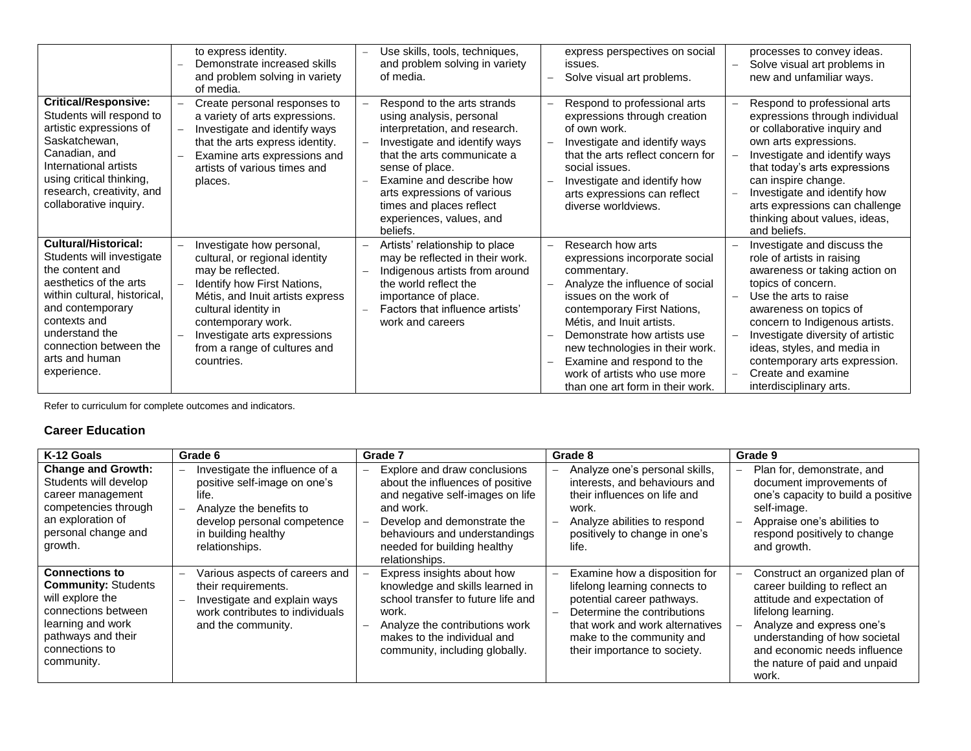|                                                                                                                                                                                                                                                 | to express identity.<br>Demonstrate increased skills<br>and problem solving in variety<br>of media.                                                                                                                                                                             | Use skills, tools, techniques,<br>and problem solving in variety<br>of media.                                                                                                                                                                                                                              | express perspectives on social<br>issues.<br>Solve visual art problems.                                                                                                                                                                                                                                                                                        | processes to convey ideas.<br>Solve visual art problems in<br>$\overline{\phantom{0}}$<br>new and unfamiliar ways.                                                                                                                                                                                                                                          |
|-------------------------------------------------------------------------------------------------------------------------------------------------------------------------------------------------------------------------------------------------|---------------------------------------------------------------------------------------------------------------------------------------------------------------------------------------------------------------------------------------------------------------------------------|------------------------------------------------------------------------------------------------------------------------------------------------------------------------------------------------------------------------------------------------------------------------------------------------------------|----------------------------------------------------------------------------------------------------------------------------------------------------------------------------------------------------------------------------------------------------------------------------------------------------------------------------------------------------------------|-------------------------------------------------------------------------------------------------------------------------------------------------------------------------------------------------------------------------------------------------------------------------------------------------------------------------------------------------------------|
| <b>Critical/Responsive:</b><br>Students will respond to<br>artistic expressions of<br>Saskatchewan,<br>Canadian, and<br>International artists<br>using critical thinking,<br>research, creativity, and<br>collaborative inquiry.                | Create personal responses to<br>a variety of arts expressions.<br>Investigate and identify ways<br>that the arts express identity.<br>Examine arts expressions and<br>artists of various times and<br>places.                                                                   | Respond to the arts strands<br>using analysis, personal<br>interpretation, and research.<br>Investigate and identify ways<br>that the arts communicate a<br>sense of place.<br>Examine and describe how<br>arts expressions of various<br>times and places reflect<br>experiences, values, and<br>beliefs. | Respond to professional arts<br>expressions through creation<br>of own work.<br>Investigate and identify ways<br>that the arts reflect concern for<br>social issues.<br>Investigate and identify how<br>arts expressions can reflect<br>diverse worldviews.                                                                                                    | Respond to professional arts<br>expressions through individual<br>or collaborative inquiry and<br>own arts expressions.<br>Investigate and identify ways<br>that today's arts expressions<br>can inspire change.<br>Investigate and identify how<br>arts expressions can challenge<br>thinking about values, ideas,<br>and beliefs.                         |
| Cultural/Historical:<br>Students will investigate<br>the content and<br>aesthetics of the arts<br>within cultural, historical,<br>and contemporary<br>contexts and<br>understand the<br>connection between the<br>arts and human<br>experience. | Investigate how personal,<br>cultural, or regional identity<br>may be reflected.<br>Identify how First Nations,<br>Métis, and Inuit artists express<br>cultural identity in<br>contemporary work.<br>Investigate arts expressions<br>from a range of cultures and<br>countries. | Artists' relationship to place<br>may be reflected in their work.<br>Indigenous artists from around<br>$\overline{\phantom{0}}$<br>the world reflect the<br>importance of place.<br>Factors that influence artists'<br>work and careers                                                                    | Research how arts<br>expressions incorporate social<br>commentary.<br>Analyze the influence of social<br>issues on the work of<br>contemporary First Nations,<br>Métis, and Inuit artists.<br>Demonstrate how artists use<br>new technologies in their work.<br>Examine and respond to the<br>work of artists who use more<br>than one art form in their work. | Investigate and discuss the<br>role of artists in raising<br>awareness or taking action on<br>topics of concern.<br>Use the arts to raise<br>awareness on topics of<br>concern to Indigenous artists.<br>Investigate diversity of artistic<br>ideas, styles, and media in<br>contemporary arts expression.<br>Create and examine<br>interdisciplinary arts. |

#### **Career Education**

| K-12 Goals                                                                                                                                                                | Grade 6                                                                                                                                                                    | Grade 7                                                                                                                                                                                                                            | Grade 8                                                                                                                                                                                                                     | Grade 9                                                                                                                                                                                                                                                      |
|---------------------------------------------------------------------------------------------------------------------------------------------------------------------------|----------------------------------------------------------------------------------------------------------------------------------------------------------------------------|------------------------------------------------------------------------------------------------------------------------------------------------------------------------------------------------------------------------------------|-----------------------------------------------------------------------------------------------------------------------------------------------------------------------------------------------------------------------------|--------------------------------------------------------------------------------------------------------------------------------------------------------------------------------------------------------------------------------------------------------------|
| <b>Change and Growth:</b><br>Students will develop<br>career management<br>competencies through<br>an exploration of<br>personal change and<br>growth.                    | Investigate the influence of a<br>positive self-image on one's<br>life.<br>Analyze the benefits to<br>develop personal competence<br>in building healthy<br>relationships. | Explore and draw conclusions<br>about the influences of positive<br>and negative self-images on life<br>and work.<br>Develop and demonstrate the<br>behaviours and understandings<br>needed for building healthy<br>relationships. | Analyze one's personal skills,<br>interests, and behaviours and<br>their influences on life and<br>work.<br>Analyze abilities to respond<br>positively to change in one's<br>life.                                          | Plan for, demonstrate, and<br>document improvements of<br>one's capacity to build a positive<br>self-image.<br>Appraise one's abilities to<br>respond positively to change<br>and growth.                                                                    |
| <b>Connections to</b><br><b>Community: Students</b><br>will explore the<br>connections between<br>learning and work<br>pathways and their<br>connections to<br>community. | Various aspects of careers and<br>their requirements.<br>Investigate and explain ways<br>work contributes to individuals<br>and the community.                             | Express insights about how<br>knowledge and skills learned in<br>school transfer to future life and<br>work.<br>Analyze the contributions work<br>makes to the individual and<br>community, including globally.                    | Examine how a disposition for<br>lifelong learning connects to<br>potential career pathways.<br>Determine the contributions<br>that work and work alternatives<br>make to the community and<br>their importance to society. | Construct an organized plan of<br>career building to reflect an<br>attitude and expectation of<br>lifelong learning.<br>Analyze and express one's<br>understanding of how societal<br>and economic needs influence<br>the nature of paid and unpaid<br>work. |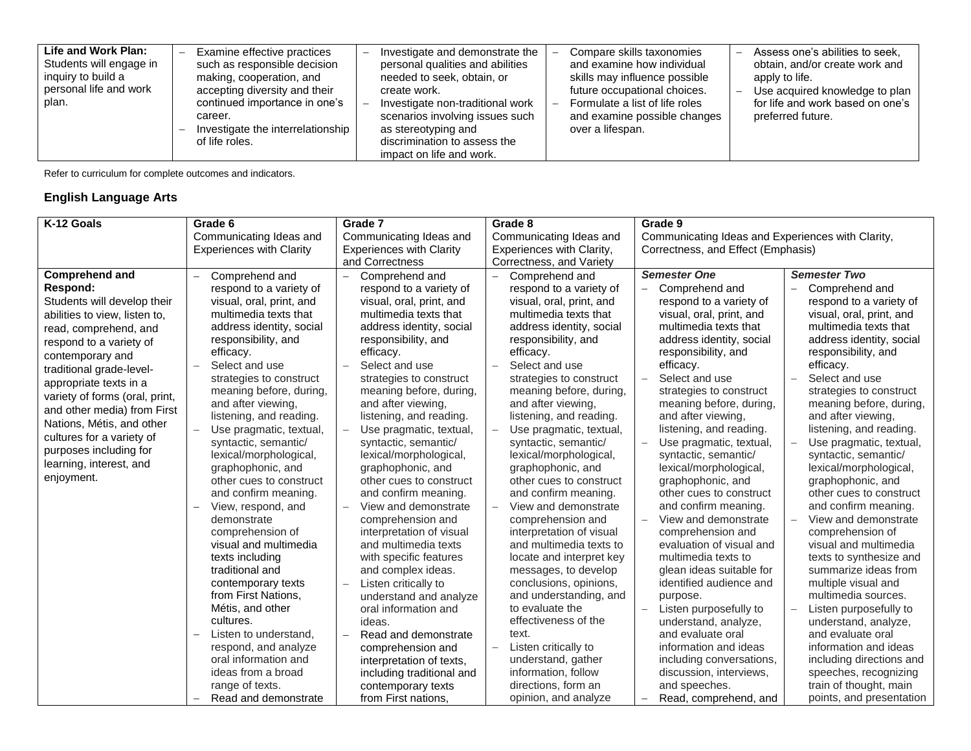| Life and Work Plan:<br>Students will engage in<br>inquiry to build a<br>personal life and work<br>plan. | Examine effective practices<br>such as responsible decision<br>making, cooperation, and<br>accepting diversity and their<br>continued importance in one's<br>career.<br>Investigate the interrelationship<br>of life roles. | Investigate and demonstrate the<br>personal qualities and abilities<br>needed to seek, obtain, or<br>create work.<br>Investigate non-traditional work<br>scenarios involving issues such<br>as stereotyping and<br>discrimination to assess the<br>impact on life and work. | Compare skills taxonomies<br>and examine how individual<br>skills may influence possible<br>future occupational choices.<br>Formulate a list of life roles<br>and examine possible changes<br>over a lifespan. | Assess one's abilities to seek.<br>obtain, and/or create work and<br>apply to life.<br>Use acquired knowledge to plan<br>for life and work based on one's<br>preferred future. |
|---------------------------------------------------------------------------------------------------------|-----------------------------------------------------------------------------------------------------------------------------------------------------------------------------------------------------------------------------|-----------------------------------------------------------------------------------------------------------------------------------------------------------------------------------------------------------------------------------------------------------------------------|----------------------------------------------------------------------------------------------------------------------------------------------------------------------------------------------------------------|--------------------------------------------------------------------------------------------------------------------------------------------------------------------------------|
|---------------------------------------------------------------------------------------------------------|-----------------------------------------------------------------------------------------------------------------------------------------------------------------------------------------------------------------------------|-----------------------------------------------------------------------------------------------------------------------------------------------------------------------------------------------------------------------------------------------------------------------------|----------------------------------------------------------------------------------------------------------------------------------------------------------------------------------------------------------------|--------------------------------------------------------------------------------------------------------------------------------------------------------------------------------|

### **English Language Arts**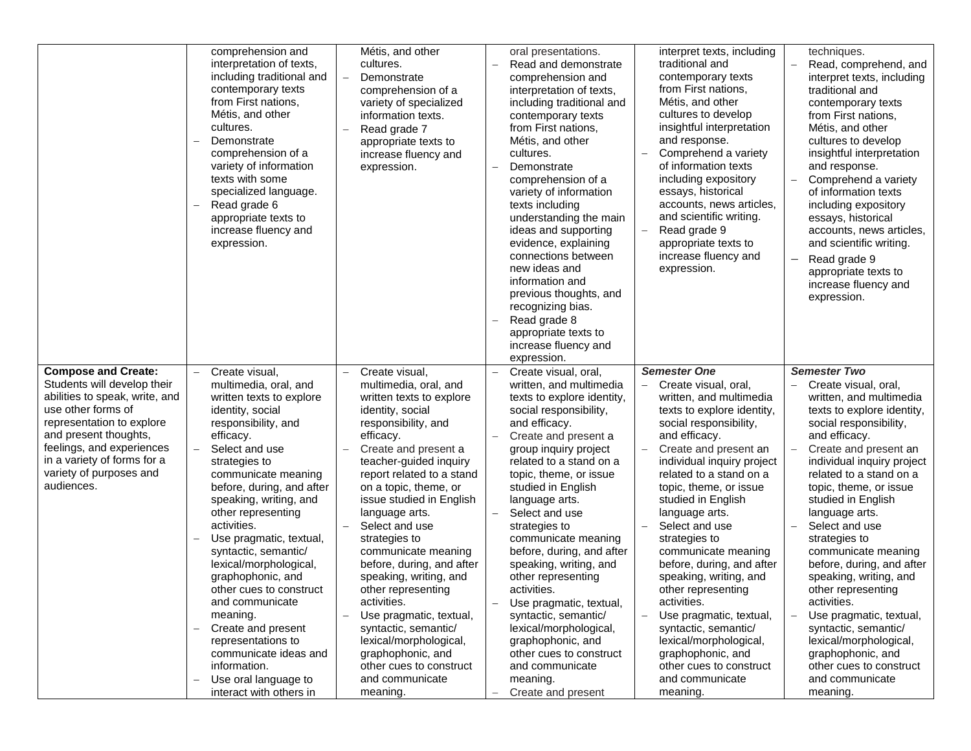|                                                                                                                                                                               | comprehension and<br>interpretation of texts,<br>including traditional and<br>contemporary texts<br>from First nations,<br>Métis, and other<br>cultures.<br>Demonstrate<br>comprehension of a<br>variety of information<br>texts with some<br>specialized language.<br>Read grade 6<br>appropriate texts to<br>increase fluency and<br>expression.                                                                                                                                                             | Métis, and other<br>cultures.<br>Demonstrate<br>comprehension of a<br>variety of specialized<br>information texts.<br>Read grade 7<br>appropriate texts to<br>increase fluency and<br>expression.                                                                                                                                                                                                                                                                                                                            | oral presentations.<br>Read and demonstrate<br>comprehension and<br>interpretation of texts,<br>including traditional and<br>contemporary texts<br>from First nations,<br>Métis, and other<br>cultures.<br>Demonstrate<br>$\overline{\phantom{0}}$<br>comprehension of a<br>variety of information<br>texts including<br>understanding the main<br>ideas and supporting<br>evidence, explaining<br>connections between<br>new ideas and<br>information and<br>previous thoughts, and<br>recognizing bias.<br>Read grade 8<br>appropriate texts to<br>increase fluency and<br>expression. | interpret texts, including<br>traditional and<br>contemporary texts<br>from First nations,<br>Métis, and other<br>cultures to develop<br>insightful interpretation<br>and response.<br>Comprehend a variety<br>of information texts<br>including expository<br>essays, historical<br>accounts, news articles,<br>and scientific writing.<br>Read grade 9<br>appropriate texts to<br>increase fluency and<br>expression.                                                                                                                                          | techniques.<br>Read, comprehend, and<br>interpret texts, including<br>traditional and<br>contemporary texts<br>from First nations,<br>Métis, and other<br>cultures to develop<br>insightful interpretation<br>and response.<br>Comprehend a variety<br>of information texts<br>including expository<br>essays, historical<br>accounts, news articles,<br>and scientific writing.<br>Read grade 9<br>appropriate texts to<br>increase fluency and<br>expression.                                                                             |
|-------------------------------------------------------------------------------------------------------------------------------------------------------------------------------|----------------------------------------------------------------------------------------------------------------------------------------------------------------------------------------------------------------------------------------------------------------------------------------------------------------------------------------------------------------------------------------------------------------------------------------------------------------------------------------------------------------|------------------------------------------------------------------------------------------------------------------------------------------------------------------------------------------------------------------------------------------------------------------------------------------------------------------------------------------------------------------------------------------------------------------------------------------------------------------------------------------------------------------------------|------------------------------------------------------------------------------------------------------------------------------------------------------------------------------------------------------------------------------------------------------------------------------------------------------------------------------------------------------------------------------------------------------------------------------------------------------------------------------------------------------------------------------------------------------------------------------------------|------------------------------------------------------------------------------------------------------------------------------------------------------------------------------------------------------------------------------------------------------------------------------------------------------------------------------------------------------------------------------------------------------------------------------------------------------------------------------------------------------------------------------------------------------------------|---------------------------------------------------------------------------------------------------------------------------------------------------------------------------------------------------------------------------------------------------------------------------------------------------------------------------------------------------------------------------------------------------------------------------------------------------------------------------------------------------------------------------------------------|
| <b>Compose and Create:</b><br>Students will develop their<br>abilities to speak, write, and                                                                                   | Create visual,<br>multimedia, oral, and<br>written texts to explore                                                                                                                                                                                                                                                                                                                                                                                                                                            | Create visual.<br>multimedia, oral, and<br>written texts to explore                                                                                                                                                                                                                                                                                                                                                                                                                                                          | Create visual, oral.<br>written, and multimedia<br>texts to explore identity,                                                                                                                                                                                                                                                                                                                                                                                                                                                                                                            | <b>Semester One</b><br>Create visual, oral,<br>written, and multimedia                                                                                                                                                                                                                                                                                                                                                                                                                                                                                           | <b>Semester Two</b><br>Create visual, oral,<br>written, and multimedia                                                                                                                                                                                                                                                                                                                                                                                                                                                                      |
| use other forms of<br>representation to explore<br>and present thoughts,<br>feelings, and experiences<br>in a variety of forms for a<br>variety of purposes and<br>audiences. | identity, social<br>responsibility, and<br>efficacy.<br>Select and use<br>strategies to<br>communicate meaning<br>before, during, and after<br>speaking, writing, and<br>other representing<br>activities.<br>Use pragmatic, textual,<br>syntactic, semantic/<br>lexical/morphological,<br>graphophonic, and<br>other cues to construct<br>and communicate<br>meaning.<br>Create and present<br>representations to<br>communicate ideas and<br>information.<br>Use oral language to<br>interact with others in | identity, social<br>responsibility, and<br>efficacy.<br>Create and present a<br>teacher-guided inquiry<br>report related to a stand<br>on a topic, theme, or<br>issue studied in English<br>language arts.<br>Select and use<br>strategies to<br>communicate meaning<br>before, during, and after<br>speaking, writing, and<br>other representing<br>activities.<br>Use pragmatic, textual,<br>syntactic, semantic/<br>lexical/morphological,<br>graphophonic, and<br>other cues to construct<br>and communicate<br>meaning. | social responsibility,<br>and efficacy.<br>Create and present a<br>group inquiry project<br>related to a stand on a<br>topic, theme, or issue<br>studied in English<br>language arts.<br>Select and use<br>strategies to<br>communicate meaning<br>before, during, and after<br>speaking, writing, and<br>other representing<br>activities.<br>Use pragmatic, textual,<br>syntactic, semantic/<br>lexical/morphological,<br>graphophonic, and<br>other cues to construct<br>and communicate<br>meaning.<br>Create and present                                                            | texts to explore identity,<br>social responsibility,<br>and efficacy.<br>Create and present an<br>individual inquiry project<br>related to a stand on a<br>topic, theme, or issue<br>studied in English<br>language arts.<br>Select and use<br>strategies to<br>communicate meaning<br>before, during, and after<br>speaking, writing, and<br>other representing<br>activities.<br>Use pragmatic, textual,<br>$\qquad \qquad -$<br>syntactic, semantic/<br>lexical/morphological,<br>graphophonic, and<br>other cues to construct<br>and communicate<br>meaning. | texts to explore identity,<br>social responsibility,<br>and efficacy.<br>Create and present an<br>individual inquiry project<br>related to a stand on a<br>topic, theme, or issue<br>studied in English<br>language arts.<br>Select and use<br>strategies to<br>communicate meaning<br>before, during, and after<br>speaking, writing, and<br>other representing<br>activities.<br>Use pragmatic, textual,<br>syntactic, semantic/<br>lexical/morphological,<br>graphophonic, and<br>other cues to construct<br>and communicate<br>meaning. |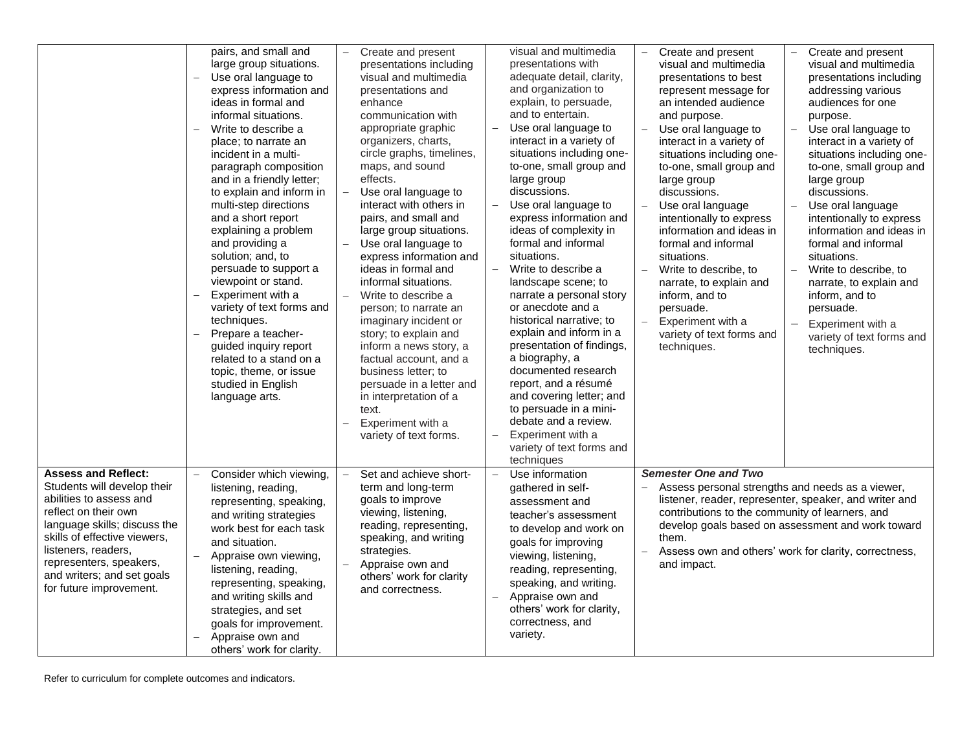|                                                                                                                                                                                                                                                                                         | pairs, and small and<br>large group situations.<br>Use oral language to<br>express information and<br>ideas in formal and<br>informal situations.<br>Write to describe a<br>$\overline{\phantom{0}}$<br>place; to narrate an<br>incident in a multi-<br>paragraph composition<br>and in a friendly letter;<br>to explain and inform in<br>multi-step directions<br>and a short report<br>explaining a problem<br>and providing a<br>solution; and, to<br>persuade to support a<br>viewpoint or stand.<br>Experiment with a<br>variety of text forms and<br>techniques.<br>Prepare a teacher-<br>guided inquiry report<br>related to a stand on a<br>topic, theme, or issue<br>studied in English<br>language arts. | Create and present<br>presentations including<br>visual and multimedia<br>presentations and<br>enhance<br>communication with<br>appropriate graphic<br>organizers, charts,<br>circle graphs, timelines,<br>maps, and sound<br>effects.<br>Use oral language to<br>interact with others in<br>pairs, and small and<br>large group situations.<br>Use oral language to<br>express information and<br>ideas in formal and<br>informal situations.<br>Write to describe a<br>person; to narrate an<br>imaginary incident or<br>story; to explain and<br>inform a news story, a<br>factual account, and a<br>business letter; to<br>persuade in a letter and<br>in interpretation of a<br>text.<br>Experiment with a<br>variety of text forms. | visual and multimedia<br>presentations with<br>adequate detail, clarity,<br>and organization to<br>explain, to persuade,<br>and to entertain.<br>Use oral language to<br>interact in a variety of<br>situations including one-<br>to-one, small group and<br>large group<br>discussions.<br>Use oral language to<br>express information and<br>ideas of complexity in<br>formal and informal<br>situations.<br>Write to describe a<br>$\equiv$<br>landscape scene; to<br>narrate a personal story<br>or anecdote and a<br>historical narrative; to<br>explain and inform in a<br>presentation of findings,<br>a biography, a<br>documented research<br>report, and a résumé<br>and covering letter; and<br>to persuade in a mini-<br>debate and a review.<br>Experiment with a<br>$\equiv$<br>variety of text forms and<br>techniques | Create and present<br>Create and present<br>$\overline{\phantom{0}}$<br>$\overline{\phantom{0}}$<br>visual and multimedia<br>visual and multimedia<br>presentations including<br>presentations to best<br>addressing various<br>represent message for<br>an intended audience<br>audiences for one<br>and purpose.<br>purpose.<br>Use oral language to<br>$\equiv$<br>Use oral language to<br>interact in a variety of<br>interact in a variety of<br>situations including one-<br>situations including one-<br>to-one, small group and<br>to-one, small group and<br>large group<br>large group<br>discussions.<br>discussions.<br>Use oral language<br>Use oral language<br>intentionally to express<br>intentionally to express<br>information and ideas in<br>information and ideas in<br>formal and informal<br>formal and informal<br>situations.<br>situations.<br>$\qquad \qquad -$<br>Write to describe, to<br>Write to describe, to<br>$\equiv$<br>narrate, to explain and<br>narrate, to explain and<br>inform, and to<br>inform, and to<br>persuade.<br>persuade.<br>Experiment with a<br>Experiment with a<br>variety of text forms and<br>variety of text forms and<br>techniques.<br>techniques. |
|-----------------------------------------------------------------------------------------------------------------------------------------------------------------------------------------------------------------------------------------------------------------------------------------|--------------------------------------------------------------------------------------------------------------------------------------------------------------------------------------------------------------------------------------------------------------------------------------------------------------------------------------------------------------------------------------------------------------------------------------------------------------------------------------------------------------------------------------------------------------------------------------------------------------------------------------------------------------------------------------------------------------------|-------------------------------------------------------------------------------------------------------------------------------------------------------------------------------------------------------------------------------------------------------------------------------------------------------------------------------------------------------------------------------------------------------------------------------------------------------------------------------------------------------------------------------------------------------------------------------------------------------------------------------------------------------------------------------------------------------------------------------------------|---------------------------------------------------------------------------------------------------------------------------------------------------------------------------------------------------------------------------------------------------------------------------------------------------------------------------------------------------------------------------------------------------------------------------------------------------------------------------------------------------------------------------------------------------------------------------------------------------------------------------------------------------------------------------------------------------------------------------------------------------------------------------------------------------------------------------------------|-----------------------------------------------------------------------------------------------------------------------------------------------------------------------------------------------------------------------------------------------------------------------------------------------------------------------------------------------------------------------------------------------------------------------------------------------------------------------------------------------------------------------------------------------------------------------------------------------------------------------------------------------------------------------------------------------------------------------------------------------------------------------------------------------------------------------------------------------------------------------------------------------------------------------------------------------------------------------------------------------------------------------------------------------------------------------------------------------------------------------------------------------------------------------------------------------------------------|
| <b>Assess and Reflect:</b><br>Students will develop their<br>abilities to assess and<br>reflect on their own<br>language skills; discuss the<br>skills of effective viewers.<br>listeners, readers,<br>representers, speakers,<br>and writers; and set goals<br>for future improvement. | Consider which viewing,<br>$\equiv$<br>listening, reading,<br>representing, speaking,<br>and writing strategies<br>work best for each task<br>and situation.<br>Appraise own viewing,<br>listening, reading,<br>representing, speaking,<br>and writing skills and<br>strategies, and set<br>goals for improvement.<br>Appraise own and<br>others' work for clarity.                                                                                                                                                                                                                                                                                                                                                | Set and achieve short-<br>term and long-term<br>goals to improve<br>viewing, listening,<br>reading, representing,<br>speaking, and writing<br>strategies.<br>Appraise own and<br>others' work for clarity<br>and correctness.                                                                                                                                                                                                                                                                                                                                                                                                                                                                                                             | Use information<br>$\equiv$<br>gathered in self-<br>assessment and<br>teacher's assessment<br>to develop and work on<br>goals for improving<br>viewing, listening,<br>reading, representing,<br>speaking, and writing.<br>Appraise own and<br>$\equiv$<br>others' work for clarity,<br>correctness, and<br>variety.                                                                                                                                                                                                                                                                                                                                                                                                                                                                                                                   | <b>Semester One and Two</b><br>Assess personal strengths and needs as a viewer,<br>listener, reader, representer, speaker, and writer and<br>contributions to the community of learners, and<br>develop goals based on assessment and work toward<br>them.<br>Assess own and others' work for clarity, correctness,<br>and impact.                                                                                                                                                                                                                                                                                                                                                                                                                                                                                                                                                                                                                                                                                                                                                                                                                                                                              |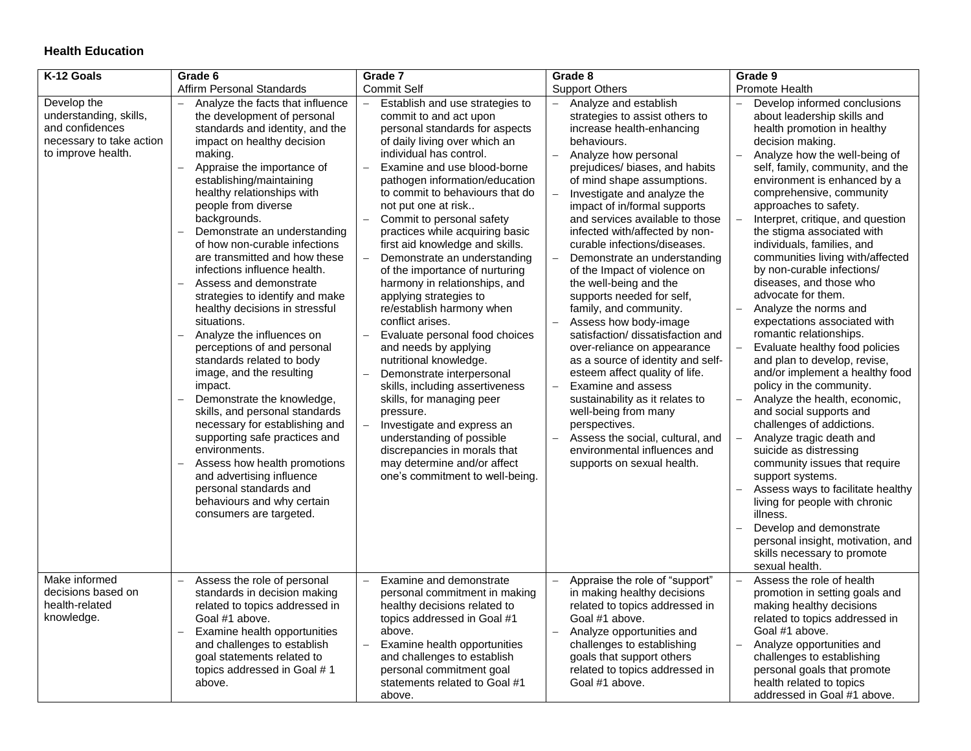# **Health Education**

| K-12 Goals                                                                                                 | Grade 6                                                                                                                                                                                                                                                                                                                                                                                                                                                                                                                                                                                                                                                                                                                                                                                                                                                                                                                                                        | Grade 7                                                                                                                                                                                                                                                                                                                                                                                                                                                                                                                                                                                                                                                                                                                                                                                                                                                                                                                         | Grade 8                                                                                                                                                                                                                                                                                                                                                                                                                                                                                                                                                                                                                                                                                                                                                                                                                                                                                              | Grade 9                                                                                                                                                                                                                                                                                                                                                                                                                                                                                                                                                                                                                                                                                                                                                                                                                                                                                                                                                                                                                                                                                                                                        |
|------------------------------------------------------------------------------------------------------------|----------------------------------------------------------------------------------------------------------------------------------------------------------------------------------------------------------------------------------------------------------------------------------------------------------------------------------------------------------------------------------------------------------------------------------------------------------------------------------------------------------------------------------------------------------------------------------------------------------------------------------------------------------------------------------------------------------------------------------------------------------------------------------------------------------------------------------------------------------------------------------------------------------------------------------------------------------------|---------------------------------------------------------------------------------------------------------------------------------------------------------------------------------------------------------------------------------------------------------------------------------------------------------------------------------------------------------------------------------------------------------------------------------------------------------------------------------------------------------------------------------------------------------------------------------------------------------------------------------------------------------------------------------------------------------------------------------------------------------------------------------------------------------------------------------------------------------------------------------------------------------------------------------|------------------------------------------------------------------------------------------------------------------------------------------------------------------------------------------------------------------------------------------------------------------------------------------------------------------------------------------------------------------------------------------------------------------------------------------------------------------------------------------------------------------------------------------------------------------------------------------------------------------------------------------------------------------------------------------------------------------------------------------------------------------------------------------------------------------------------------------------------------------------------------------------------|------------------------------------------------------------------------------------------------------------------------------------------------------------------------------------------------------------------------------------------------------------------------------------------------------------------------------------------------------------------------------------------------------------------------------------------------------------------------------------------------------------------------------------------------------------------------------------------------------------------------------------------------------------------------------------------------------------------------------------------------------------------------------------------------------------------------------------------------------------------------------------------------------------------------------------------------------------------------------------------------------------------------------------------------------------------------------------------------------------------------------------------------|
|                                                                                                            | Affirm Personal Standards                                                                                                                                                                                                                                                                                                                                                                                                                                                                                                                                                                                                                                                                                                                                                                                                                                                                                                                                      | <b>Commit Self</b>                                                                                                                                                                                                                                                                                                                                                                                                                                                                                                                                                                                                                                                                                                                                                                                                                                                                                                              | <b>Support Others</b>                                                                                                                                                                                                                                                                                                                                                                                                                                                                                                                                                                                                                                                                                                                                                                                                                                                                                | <b>Promote Health</b>                                                                                                                                                                                                                                                                                                                                                                                                                                                                                                                                                                                                                                                                                                                                                                                                                                                                                                                                                                                                                                                                                                                          |
| Develop the<br>understanding, skills,<br>and confidences<br>necessary to take action<br>to improve health. | Analyze the facts that influence<br>the development of personal<br>standards and identity, and the<br>impact on healthy decision<br>making.<br>Appraise the importance of<br>establishing/maintaining<br>healthy relationships with<br>people from diverse<br>backgrounds.<br>Demonstrate an understanding<br>of how non-curable infections<br>are transmitted and how these<br>infections influence health.<br>Assess and demonstrate<br>strategies to identify and make<br>healthy decisions in stressful<br>situations.<br>Analyze the influences on<br>perceptions of and personal<br>standards related to body<br>image, and the resulting<br>impact.<br>Demonstrate the knowledge,<br>skills, and personal standards<br>necessary for establishing and<br>supporting safe practices and<br>environments.<br>Assess how health promotions<br>and advertising influence<br>personal standards and<br>behaviours and why certain<br>consumers are targeted. | Establish and use strategies to<br>commit to and act upon<br>personal standards for aspects<br>of daily living over which an<br>individual has control.<br>Examine and use blood-borne<br>pathogen information/education<br>to commit to behaviours that do<br>not put one at risk<br>Commit to personal safety<br>practices while acquiring basic<br>first aid knowledge and skills.<br>Demonstrate an understanding<br>of the importance of nurturing<br>harmony in relationships, and<br>applying strategies to<br>re/establish harmony when<br>conflict arises.<br>Evaluate personal food choices<br>and needs by applying<br>nutritional knowledge.<br>Demonstrate interpersonal<br>skills, including assertiveness<br>skills, for managing peer<br>pressure.<br>Investigate and express an<br>understanding of possible<br>discrepancies in morals that<br>may determine and/or affect<br>one's commitment to well-being. | Analyze and establish<br>strategies to assist others to<br>increase health-enhancing<br>behaviours.<br>Analyze how personal<br>$\equiv$<br>prejudices/ biases, and habits<br>of mind shape assumptions.<br>Investigate and analyze the<br>impact of in/formal supports<br>and services available to those<br>infected with/affected by non-<br>curable infections/diseases.<br>Demonstrate an understanding<br>of the Impact of violence on<br>the well-being and the<br>supports needed for self,<br>family, and community.<br>Assess how body-image<br>satisfaction/ dissatisfaction and<br>over-reliance on appearance<br>as a source of identity and self-<br>esteem affect quality of life.<br>Examine and assess<br>sustainability as it relates to<br>well-being from many<br>perspectives.<br>Assess the social, cultural, and<br>environmental influences and<br>supports on sexual health. | Develop informed conclusions<br>$\qquad \qquad -$<br>about leadership skills and<br>health promotion in healthy<br>decision making.<br>Analyze how the well-being of<br>self, family, community, and the<br>environment is enhanced by a<br>comprehensive, community<br>approaches to safety.<br>Interpret, critique, and question<br>the stigma associated with<br>individuals, families, and<br>communities living with/affected<br>by non-curable infections/<br>diseases, and those who<br>advocate for them.<br>Analyze the norms and<br>expectations associated with<br>romantic relationships.<br>Evaluate healthy food policies<br>and plan to develop, revise,<br>and/or implement a healthy food<br>policy in the community.<br>Analyze the health, economic,<br>and social supports and<br>challenges of addictions.<br>Analyze tragic death and<br>suicide as distressing<br>community issues that require<br>support systems.<br>Assess ways to facilitate healthy<br>living for people with chronic<br>illness.<br>Develop and demonstrate<br>personal insight, motivation, and<br>skills necessary to promote<br>sexual health. |
| Make informed<br>decisions based on<br>health-related<br>knowledge.                                        | Assess the role of personal<br>$\equiv$<br>standards in decision making<br>related to topics addressed in<br>Goal #1 above.<br>Examine health opportunities<br>and challenges to establish<br>goal statements related to<br>topics addressed in Goal #1<br>above.                                                                                                                                                                                                                                                                                                                                                                                                                                                                                                                                                                                                                                                                                              | Examine and demonstrate<br>$\equiv$<br>personal commitment in making<br>healthy decisions related to<br>topics addressed in Goal #1<br>above.<br>Examine health opportunities<br>and challenges to establish<br>personal commitment goal<br>statements related to Goal #1<br>above.                                                                                                                                                                                                                                                                                                                                                                                                                                                                                                                                                                                                                                             | Appraise the role of "support"<br>in making healthy decisions<br>related to topics addressed in<br>Goal #1 above.<br>Analyze opportunities and<br>challenges to establishing<br>goals that support others<br>related to topics addressed in<br>Goal #1 above.                                                                                                                                                                                                                                                                                                                                                                                                                                                                                                                                                                                                                                        | Assess the role of health<br>$\equiv$<br>promotion in setting goals and<br>making healthy decisions<br>related to topics addressed in<br>Goal #1 above.<br>Analyze opportunities and<br>challenges to establishing<br>personal goals that promote<br>health related to topics<br>addressed in Goal #1 above.                                                                                                                                                                                                                                                                                                                                                                                                                                                                                                                                                                                                                                                                                                                                                                                                                                   |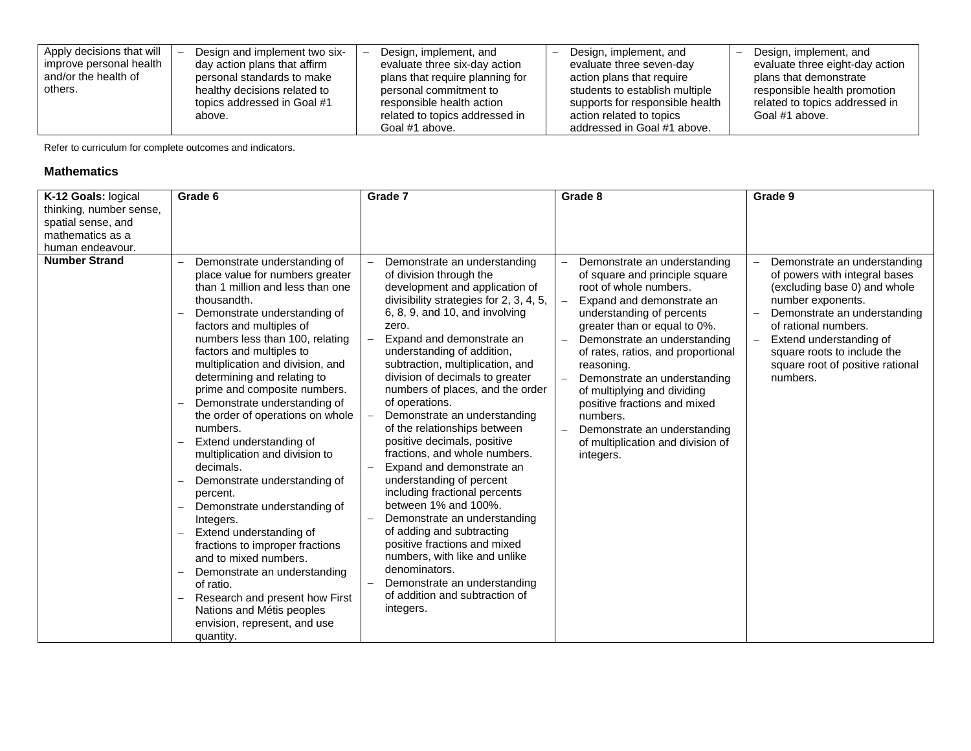| Apply decisions that will<br>improve personal health<br>and/or the health of<br>others. | Design and implement two six-<br>day action plans that affirm<br>personal standards to make<br>healthy decisions related to<br>topics addressed in Goal #1<br>above. | Design, implement, and<br>evaluate three six-day action<br>plans that require planning for<br>personal commitment to<br>responsible health action<br>related to topics addressed in | Design, implement, and<br>evaluate three seven-day<br>action plans that require<br>students to establish multiple<br>supports for responsible health<br>action related to topics | Design, implement, and<br>evaluate three eight-day action<br>plans that demonstrate<br>responsible health promotion<br>related to topics addressed in<br>Goal #1 above. |
|-----------------------------------------------------------------------------------------|----------------------------------------------------------------------------------------------------------------------------------------------------------------------|-------------------------------------------------------------------------------------------------------------------------------------------------------------------------------------|----------------------------------------------------------------------------------------------------------------------------------------------------------------------------------|-------------------------------------------------------------------------------------------------------------------------------------------------------------------------|
|                                                                                         |                                                                                                                                                                      | Goal #1 above.                                                                                                                                                                      | addressed in Goal #1 above.                                                                                                                                                      |                                                                                                                                                                         |

#### **Mathematics**

| K-12 Goals: logical     | Grade 6                                                                                                                                                                                                                                                                                                                                                                                                                                                                                                                                                                                                                                                                                                                                                                                                                                             | Grade 7                                                                                                                                                                                                                                                                                                                                                                                                                                                                                                                                                                                                                                                                                                                                                                                                                                                 | Grade 8                                                                                                                                                                                                                                                                                                                                                                                                                                                             | Grade 9                                                                                                                                                                                                                                                                              |
|-------------------------|-----------------------------------------------------------------------------------------------------------------------------------------------------------------------------------------------------------------------------------------------------------------------------------------------------------------------------------------------------------------------------------------------------------------------------------------------------------------------------------------------------------------------------------------------------------------------------------------------------------------------------------------------------------------------------------------------------------------------------------------------------------------------------------------------------------------------------------------------------|---------------------------------------------------------------------------------------------------------------------------------------------------------------------------------------------------------------------------------------------------------------------------------------------------------------------------------------------------------------------------------------------------------------------------------------------------------------------------------------------------------------------------------------------------------------------------------------------------------------------------------------------------------------------------------------------------------------------------------------------------------------------------------------------------------------------------------------------------------|---------------------------------------------------------------------------------------------------------------------------------------------------------------------------------------------------------------------------------------------------------------------------------------------------------------------------------------------------------------------------------------------------------------------------------------------------------------------|--------------------------------------------------------------------------------------------------------------------------------------------------------------------------------------------------------------------------------------------------------------------------------------|
| thinking, number sense, |                                                                                                                                                                                                                                                                                                                                                                                                                                                                                                                                                                                                                                                                                                                                                                                                                                                     |                                                                                                                                                                                                                                                                                                                                                                                                                                                                                                                                                                                                                                                                                                                                                                                                                                                         |                                                                                                                                                                                                                                                                                                                                                                                                                                                                     |                                                                                                                                                                                                                                                                                      |
| spatial sense, and      |                                                                                                                                                                                                                                                                                                                                                                                                                                                                                                                                                                                                                                                                                                                                                                                                                                                     |                                                                                                                                                                                                                                                                                                                                                                                                                                                                                                                                                                                                                                                                                                                                                                                                                                                         |                                                                                                                                                                                                                                                                                                                                                                                                                                                                     |                                                                                                                                                                                                                                                                                      |
| mathematics as a        |                                                                                                                                                                                                                                                                                                                                                                                                                                                                                                                                                                                                                                                                                                                                                                                                                                                     |                                                                                                                                                                                                                                                                                                                                                                                                                                                                                                                                                                                                                                                                                                                                                                                                                                                         |                                                                                                                                                                                                                                                                                                                                                                                                                                                                     |                                                                                                                                                                                                                                                                                      |
| human endeavour.        |                                                                                                                                                                                                                                                                                                                                                                                                                                                                                                                                                                                                                                                                                                                                                                                                                                                     |                                                                                                                                                                                                                                                                                                                                                                                                                                                                                                                                                                                                                                                                                                                                                                                                                                                         |                                                                                                                                                                                                                                                                                                                                                                                                                                                                     |                                                                                                                                                                                                                                                                                      |
| <b>Number Strand</b>    | Demonstrate understanding of<br>place value for numbers greater<br>than 1 million and less than one<br>thousandth.<br>Demonstrate understanding of<br>factors and multiples of<br>numbers less than 100, relating<br>factors and multiples to<br>multiplication and division, and<br>determining and relating to<br>prime and composite numbers.<br>Demonstrate understanding of<br>the order of operations on whole<br>numbers.<br>Extend understanding of<br>multiplication and division to<br>decimals.<br>Demonstrate understanding of<br>percent.<br>Demonstrate understanding of<br>Integers.<br>Extend understanding of<br>fractions to improper fractions<br>and to mixed numbers.<br>Demonstrate an understanding<br>of ratio.<br>Research and present how First<br>Nations and Métis peoples<br>envision, represent, and use<br>quantity. | Demonstrate an understanding<br>of division through the<br>development and application of<br>divisibility strategies for 2, 3, 4, 5,<br>6, 8, 9, and 10, and involving<br>zero.<br>Expand and demonstrate an<br>understanding of addition,<br>subtraction, multiplication, and<br>division of decimals to greater<br>numbers of places, and the order<br>of operations.<br>Demonstrate an understanding<br>of the relationships between<br>positive decimals, positive<br>fractions, and whole numbers.<br>Expand and demonstrate an<br>understanding of percent<br>including fractional percents<br>between 1% and 100%.<br>Demonstrate an understanding<br>of adding and subtracting<br>positive fractions and mixed<br>numbers, with like and unlike<br>denominators.<br>Demonstrate an understanding<br>of addition and subtraction of<br>integers. | Demonstrate an understanding<br>of square and principle square<br>root of whole numbers.<br>Expand and demonstrate an<br>understanding of percents<br>greater than or equal to 0%.<br>Demonstrate an understanding<br>of rates, ratios, and proportional<br>reasoning.<br>Demonstrate an understanding<br>of multiplying and dividing<br>positive fractions and mixed<br>numbers.<br>Demonstrate an understanding<br>of multiplication and division of<br>integers. | Demonstrate an understanding<br>of powers with integral bases<br>(excluding base 0) and whole<br>number exponents.<br>Demonstrate an understanding<br>of rational numbers.<br>Extend understanding of<br>square roots to include the<br>square root of positive rational<br>numbers. |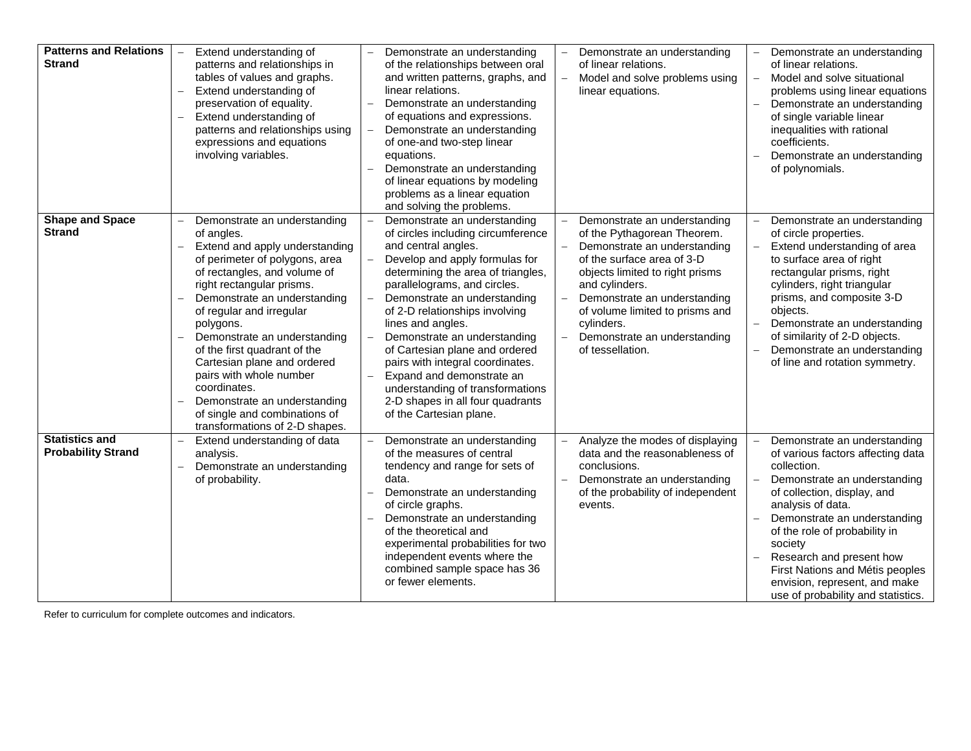| <b>Patterns and Relations</b><br><b>Strand</b>     | Extend understanding of<br>patterns and relationships in<br>tables of values and graphs.<br>Extend understanding of<br>preservation of equality.<br>Extend understanding of<br>patterns and relationships using<br>expressions and equations<br>involving variables.                                                                                                                                                                                                                                          | Demonstrate an understanding<br>of the relationships between oral<br>and written patterns, graphs, and<br>linear relations.<br>Demonstrate an understanding<br>of equations and expressions.<br>Demonstrate an understanding<br>of one-and two-step linear<br>equations.<br>Demonstrate an understanding<br>of linear equations by modeling<br>problems as a linear equation<br>and solving the problems.                                                                                                                      | Demonstrate an understanding<br>of linear relations.<br>Model and solve problems using<br>$\equiv$<br>linear equations.                                                                                                                                                                                             | Demonstrate an understanding<br>of linear relations.<br>Model and solve situational<br>$-$<br>problems using linear equations<br>Demonstrate an understanding<br>of single variable linear<br>inequalities with rational<br>coefficients.<br>Demonstrate an understanding<br>of polynomials.                                                                                                       |
|----------------------------------------------------|---------------------------------------------------------------------------------------------------------------------------------------------------------------------------------------------------------------------------------------------------------------------------------------------------------------------------------------------------------------------------------------------------------------------------------------------------------------------------------------------------------------|--------------------------------------------------------------------------------------------------------------------------------------------------------------------------------------------------------------------------------------------------------------------------------------------------------------------------------------------------------------------------------------------------------------------------------------------------------------------------------------------------------------------------------|---------------------------------------------------------------------------------------------------------------------------------------------------------------------------------------------------------------------------------------------------------------------------------------------------------------------|----------------------------------------------------------------------------------------------------------------------------------------------------------------------------------------------------------------------------------------------------------------------------------------------------------------------------------------------------------------------------------------------------|
| <b>Shape and Space</b><br><b>Strand</b>            | Demonstrate an understanding<br>$\equiv$<br>of angles.<br>Extend and apply understanding<br>of perimeter of polygons, area<br>of rectangles, and volume of<br>right rectangular prisms.<br>Demonstrate an understanding<br>of regular and irregular<br>polygons.<br>Demonstrate an understanding<br>of the first quadrant of the<br>Cartesian plane and ordered<br>pairs with whole number<br>coordinates.<br>Demonstrate an understanding<br>of single and combinations of<br>transformations of 2-D shapes. | Demonstrate an understanding<br>of circles including circumference<br>and central angles.<br>Develop and apply formulas for<br>determining the area of triangles,<br>parallelograms, and circles.<br>Demonstrate an understanding<br>of 2-D relationships involving<br>lines and angles.<br>Demonstrate an understanding<br>of Cartesian plane and ordered<br>pairs with integral coordinates.<br>Expand and demonstrate an<br>understanding of transformations<br>2-D shapes in all four quadrants<br>of the Cartesian plane. | Demonstrate an understanding<br>of the Pythagorean Theorem.<br>Demonstrate an understanding<br>of the surface area of 3-D<br>objects limited to right prisms<br>and cylinders.<br>Demonstrate an understanding<br>of volume limited to prisms and<br>cylinders.<br>Demonstrate an understanding<br>of tessellation. | Demonstrate an understanding<br>of circle properties.<br>Extend understanding of area<br>to surface area of right<br>rectangular prisms, right<br>cylinders, right triangular<br>prisms, and composite 3-D<br>objects.<br>Demonstrate an understanding<br>of similarity of 2-D objects.<br>Demonstrate an understanding<br>of line and rotation symmetry.                                          |
| <b>Statistics and</b><br><b>Probability Strand</b> | Extend understanding of data<br>analysis.<br>Demonstrate an understanding<br>of probability.                                                                                                                                                                                                                                                                                                                                                                                                                  | Demonstrate an understanding<br>of the measures of central<br>tendency and range for sets of<br>data.<br>Demonstrate an understanding<br>of circle graphs.<br>Demonstrate an understanding<br>of the theoretical and<br>experimental probabilities for two<br>independent events where the<br>combined sample space has 36<br>or fewer elements.                                                                                                                                                                               | Analyze the modes of displaying<br>data and the reasonableness of<br>conclusions.<br>Demonstrate an understanding<br>of the probability of independent<br>events.                                                                                                                                                   | Demonstrate an understanding<br>of various factors affecting data<br>collection.<br>Demonstrate an understanding<br>$\equiv$<br>of collection, display, and<br>analysis of data.<br>Demonstrate an understanding<br>of the role of probability in<br>society<br>Research and present how<br>First Nations and Métis peoples<br>envision, represent, and make<br>use of probability and statistics. |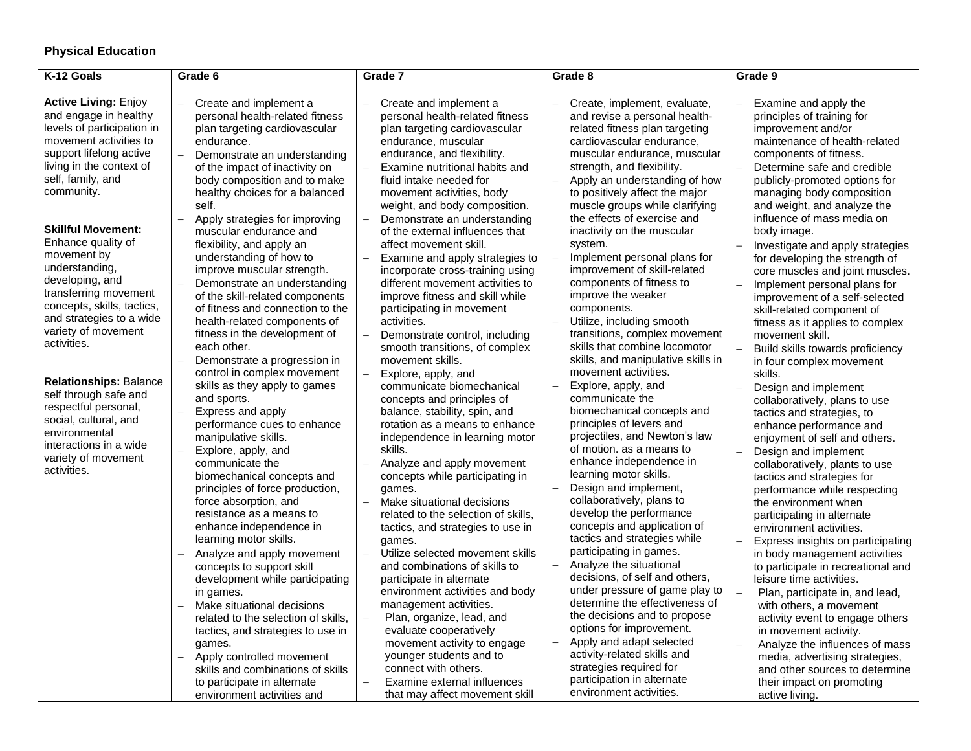# **Physical Education**

| K-12 Goals                                                                                                                                                                                                                                                                                                                                                                                                              | Grade 6                                                                                                                                                                                                                                                                                                                                                                                                                                                                                                                                                                                                                                                                                                                                                                                                                                    | Grade 7                                                                                                                                                                                                                                                                                                                                                                                                                                                                                                                                                                                                                                                                                                                                                                                                                                                 | Grade 8                                                                                                                                                                                                                                                                                                                                                                                                                                                                                                                                                                                                                                                                                                                                                                                                                                                              | Grade 9                                                                                                                                                                                                                                                                                                                                                                                                                                                                                                                                                                                                                                                                                                                                                                                                                                                                                |
|-------------------------------------------------------------------------------------------------------------------------------------------------------------------------------------------------------------------------------------------------------------------------------------------------------------------------------------------------------------------------------------------------------------------------|--------------------------------------------------------------------------------------------------------------------------------------------------------------------------------------------------------------------------------------------------------------------------------------------------------------------------------------------------------------------------------------------------------------------------------------------------------------------------------------------------------------------------------------------------------------------------------------------------------------------------------------------------------------------------------------------------------------------------------------------------------------------------------------------------------------------------------------------|---------------------------------------------------------------------------------------------------------------------------------------------------------------------------------------------------------------------------------------------------------------------------------------------------------------------------------------------------------------------------------------------------------------------------------------------------------------------------------------------------------------------------------------------------------------------------------------------------------------------------------------------------------------------------------------------------------------------------------------------------------------------------------------------------------------------------------------------------------|----------------------------------------------------------------------------------------------------------------------------------------------------------------------------------------------------------------------------------------------------------------------------------------------------------------------------------------------------------------------------------------------------------------------------------------------------------------------------------------------------------------------------------------------------------------------------------------------------------------------------------------------------------------------------------------------------------------------------------------------------------------------------------------------------------------------------------------------------------------------|----------------------------------------------------------------------------------------------------------------------------------------------------------------------------------------------------------------------------------------------------------------------------------------------------------------------------------------------------------------------------------------------------------------------------------------------------------------------------------------------------------------------------------------------------------------------------------------------------------------------------------------------------------------------------------------------------------------------------------------------------------------------------------------------------------------------------------------------------------------------------------------|
|                                                                                                                                                                                                                                                                                                                                                                                                                         |                                                                                                                                                                                                                                                                                                                                                                                                                                                                                                                                                                                                                                                                                                                                                                                                                                            |                                                                                                                                                                                                                                                                                                                                                                                                                                                                                                                                                                                                                                                                                                                                                                                                                                                         |                                                                                                                                                                                                                                                                                                                                                                                                                                                                                                                                                                                                                                                                                                                                                                                                                                                                      |                                                                                                                                                                                                                                                                                                                                                                                                                                                                                                                                                                                                                                                                                                                                                                                                                                                                                        |
| <b>Active Living: Enjoy</b><br>and engage in healthy<br>levels of participation in<br>movement activities to<br>support lifelong active<br>living in the context of<br>self, family, and<br>community.<br><b>Skillful Movement:</b><br>Enhance quality of<br>movement by<br>understanding,<br>developing, and<br>transferring movement<br>concepts, skills, tactics,<br>and strategies to a wide<br>variety of movement | Create and implement a<br>$\equiv$<br>personal health-related fitness<br>plan targeting cardiovascular<br>endurance.<br>Demonstrate an understanding<br>of the impact of inactivity on<br>body composition and to make<br>healthy choices for a balanced<br>self.<br>Apply strategies for improving<br>muscular endurance and<br>flexibility, and apply an<br>understanding of how to<br>improve muscular strength.<br>Demonstrate an understanding<br>of the skill-related components<br>of fitness and connection to the<br>health-related components of<br>fitness in the development of                                                                                                                                                                                                                                                | Create and implement a<br>$-$<br>personal health-related fitness<br>plan targeting cardiovascular<br>endurance, muscular<br>endurance, and flexibility.<br>Examine nutritional habits and<br>fluid intake needed for<br>movement activities, body<br>weight, and body composition.<br>Demonstrate an understanding<br>of the external influences that<br>affect movement skill.<br>Examine and apply strategies to<br>incorporate cross-training using<br>different movement activities to<br>improve fitness and skill while<br>participating in movement<br>activities.<br>Demonstrate control, including                                                                                                                                                                                                                                             | Create, implement, evaluate,<br>$\overline{\phantom{0}}$<br>and revise a personal health-<br>related fitness plan targeting<br>cardiovascular endurance,<br>muscular endurance, muscular<br>strength, and flexibility.<br>Apply an understanding of how<br>to positively affect the major<br>muscle groups while clarifying<br>the effects of exercise and<br>inactivity on the muscular<br>system.<br>Implement personal plans for<br>improvement of skill-related<br>components of fitness to<br>improve the weaker<br>components.<br>Utilize, including smooth<br>transitions, complex movement                                                                                                                                                                                                                                                                   | Examine and apply the<br>principles of training for<br>improvement and/or<br>maintenance of health-related<br>components of fitness.<br>Determine safe and credible<br>publicly-promoted options for<br>managing body composition<br>and weight, and analyze the<br>influence of mass media on<br>body image.<br>Investigate and apply strategies<br>for developing the strength of<br>core muscles and joint muscles.<br>Implement personal plans for<br>improvement of a self-selected<br>skill-related component of<br>fitness as it applies to complex<br>movement skill.                                                                                                                                                                                                                                                                                                          |
| activities.<br><b>Relationships: Balance</b><br>self through safe and<br>respectful personal,<br>social, cultural, and<br>environmental<br>interactions in a wide<br>variety of movement<br>activities.                                                                                                                                                                                                                 | each other.<br>Demonstrate a progression in<br>control in complex movement<br>skills as they apply to games<br>and sports.<br>Express and apply<br>$\overline{\phantom{0}}$<br>performance cues to enhance<br>manipulative skills.<br>Explore, apply, and<br>communicate the<br>biomechanical concepts and<br>principles of force production,<br>force absorption, and<br>resistance as a means to<br>enhance independence in<br>learning motor skills.<br>Analyze and apply movement<br>concepts to support skill<br>development while participating<br>in games.<br>Make situational decisions<br>related to the selection of skills.<br>tactics, and strategies to use in<br>games.<br>Apply controlled movement<br>$\qquad \qquad -$<br>skills and combinations of skills<br>to participate in alternate<br>environment activities and | smooth transitions, of complex<br>movement skills.<br>Explore, apply, and<br>communicate biomechanical<br>concepts and principles of<br>balance, stability, spin, and<br>rotation as a means to enhance<br>independence in learning motor<br>skills.<br>Analyze and apply movement<br>concepts while participating in<br>games.<br>Make situational decisions<br>related to the selection of skills.<br>tactics, and strategies to use in<br>games.<br>Utilize selected movement skills<br>and combinations of skills to<br>participate in alternate<br>environment activities and body<br>management activities.<br>Plan, organize, lead, and<br>evaluate cooperatively<br>movement activity to engage<br>younger students and to<br>connect with others.<br>Examine external influences<br>$\overline{\phantom{0}}$<br>that may affect movement skill | skills that combine locomotor<br>skills, and manipulative skills in<br>movement activities.<br>Explore, apply, and<br>communicate the<br>biomechanical concepts and<br>principles of levers and<br>projectiles, and Newton's law<br>of motion, as a means to<br>enhance independence in<br>learning motor skills.<br>Design and implement,<br>collaboratively, plans to<br>develop the performance<br>concepts and application of<br>tactics and strategies while<br>participating in games.<br>Analyze the situational<br>$\overline{\phantom{0}}$<br>decisions, of self and others,<br>under pressure of game play to<br>determine the effectiveness of<br>the decisions and to propose<br>options for improvement.<br>Apply and adapt selected<br>activity-related skills and<br>strategies required for<br>participation in alternate<br>environment activities. | Build skills towards proficiency<br>in four complex movement<br>skills.<br>Design and implement<br>collaboratively, plans to use<br>tactics and strategies, to<br>enhance performance and<br>enjoyment of self and others.<br>Design and implement<br>collaboratively, plants to use<br>tactics and strategies for<br>performance while respecting<br>the environment when<br>participating in alternate<br>environment activities.<br>Express insights on participating<br>in body management activities<br>to participate in recreational and<br>leisure time activities.<br>Plan, participate in, and lead,<br>with others, a movement<br>activity event to engage others<br>in movement activity.<br>Analyze the influences of mass<br>$\overline{\phantom{a}}$<br>media, advertising strategies,<br>and other sources to determine<br>their impact on promoting<br>active living. |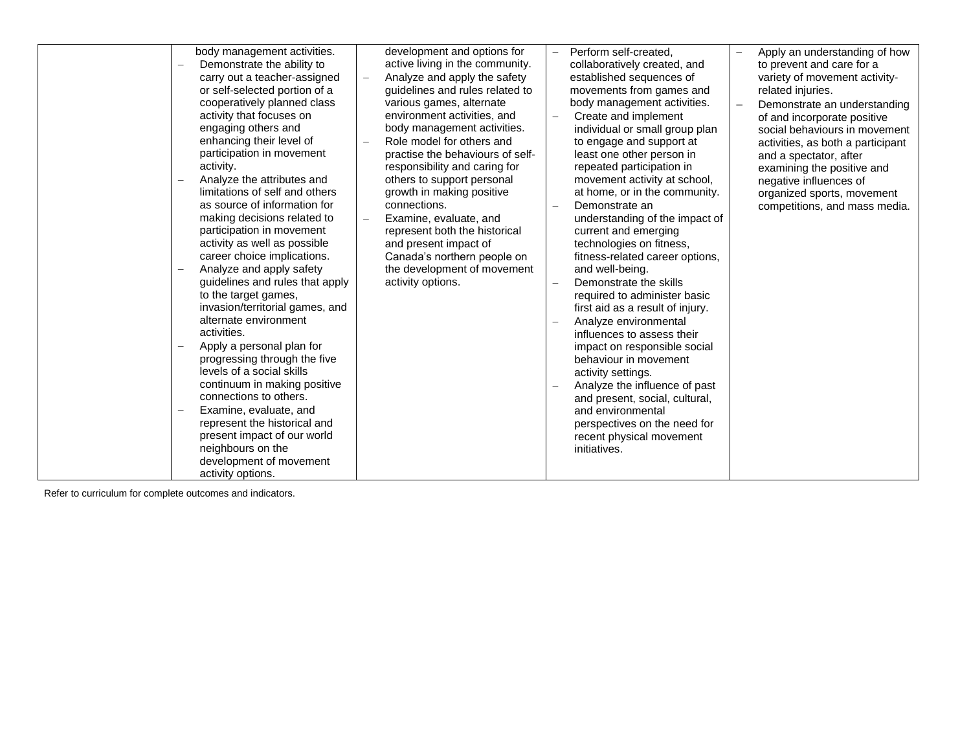| $\overline{\phantom{0}}$<br>$\qquad \qquad -$<br>$\overline{\phantom{a}}$<br>$\overline{\phantom{a}}$ | body management activities.<br>Demonstrate the ability to<br>carry out a teacher-assigned<br>or self-selected portion of a<br>cooperatively planned class<br>activity that focuses on<br>engaging others and<br>enhancing their level of<br>participation in movement<br>activity.<br>Analyze the attributes and<br>limitations of self and others<br>as source of information for<br>making decisions related to<br>participation in movement<br>activity as well as possible<br>career choice implications.<br>Analyze and apply safety<br>guidelines and rules that apply<br>to the target games,<br>invasion/territorial games, and<br>alternate environment<br>activities.<br>Apply a personal plan for<br>progressing through the five<br>levels of a social skills<br>continuum in making positive<br>connections to others.<br>Examine, evaluate, and<br>represent the historical and<br>present impact of our world | development and options for<br>active living in the community.<br>Analyze and apply the safety<br>guidelines and rules related to<br>various games, alternate<br>environment activities, and<br>body management activities.<br>Role model for others and<br>practise the behaviours of self-<br>responsibility and caring for<br>others to support personal<br>growth in making positive<br>connections.<br>Examine, evaluate, and<br>represent both the historical<br>and present impact of<br>Canada's northern people on<br>the development of movement<br>activity options. | Perform self-created,<br>collaboratively created, and<br>established sequences of<br>movements from games and<br>body management activities.<br>Create and implement<br>individual or small group plan<br>to engage and support at<br>least one other person in<br>repeated participation in<br>movement activity at school,<br>at home, or in the community.<br>Demonstrate an<br>understanding of the impact of<br>current and emerging<br>technologies on fitness,<br>fitness-related career options,<br>and well-being.<br>Demonstrate the skills<br>required to administer basic<br>first aid as a result of injury.<br>Analyze environmental<br>influences to assess their<br>impact on responsible social<br>behaviour in movement<br>activity settings.<br>Analyze the influence of past<br>and present, social, cultural,<br>and environmental<br>perspectives on the need for<br>recent physical movement | Apply an understanding of how<br>to prevent and care for a<br>variety of movement activity-<br>related injuries.<br>Demonstrate an understanding<br>of and incorporate positive<br>social behaviours in movement<br>activities, as both a participant<br>and a spectator, after<br>examining the positive and<br>negative influences of<br>organized sports, movement<br>competitions, and mass media. |
|-------------------------------------------------------------------------------------------------------|------------------------------------------------------------------------------------------------------------------------------------------------------------------------------------------------------------------------------------------------------------------------------------------------------------------------------------------------------------------------------------------------------------------------------------------------------------------------------------------------------------------------------------------------------------------------------------------------------------------------------------------------------------------------------------------------------------------------------------------------------------------------------------------------------------------------------------------------------------------------------------------------------------------------------|---------------------------------------------------------------------------------------------------------------------------------------------------------------------------------------------------------------------------------------------------------------------------------------------------------------------------------------------------------------------------------------------------------------------------------------------------------------------------------------------------------------------------------------------------------------------------------|---------------------------------------------------------------------------------------------------------------------------------------------------------------------------------------------------------------------------------------------------------------------------------------------------------------------------------------------------------------------------------------------------------------------------------------------------------------------------------------------------------------------------------------------------------------------------------------------------------------------------------------------------------------------------------------------------------------------------------------------------------------------------------------------------------------------------------------------------------------------------------------------------------------------|--------------------------------------------------------------------------------------------------------------------------------------------------------------------------------------------------------------------------------------------------------------------------------------------------------------------------------------------------------------------------------------------------------|
|                                                                                                       | neighbours on the<br>development of movement                                                                                                                                                                                                                                                                                                                                                                                                                                                                                                                                                                                                                                                                                                                                                                                                                                                                                 |                                                                                                                                                                                                                                                                                                                                                                                                                                                                                                                                                                                 | initiatives.                                                                                                                                                                                                                                                                                                                                                                                                                                                                                                                                                                                                                                                                                                                                                                                                                                                                                                        |                                                                                                                                                                                                                                                                                                                                                                                                        |
|                                                                                                       | activity options.                                                                                                                                                                                                                                                                                                                                                                                                                                                                                                                                                                                                                                                                                                                                                                                                                                                                                                            |                                                                                                                                                                                                                                                                                                                                                                                                                                                                                                                                                                                 |                                                                                                                                                                                                                                                                                                                                                                                                                                                                                                                                                                                                                                                                                                                                                                                                                                                                                                                     |                                                                                                                                                                                                                                                                                                                                                                                                        |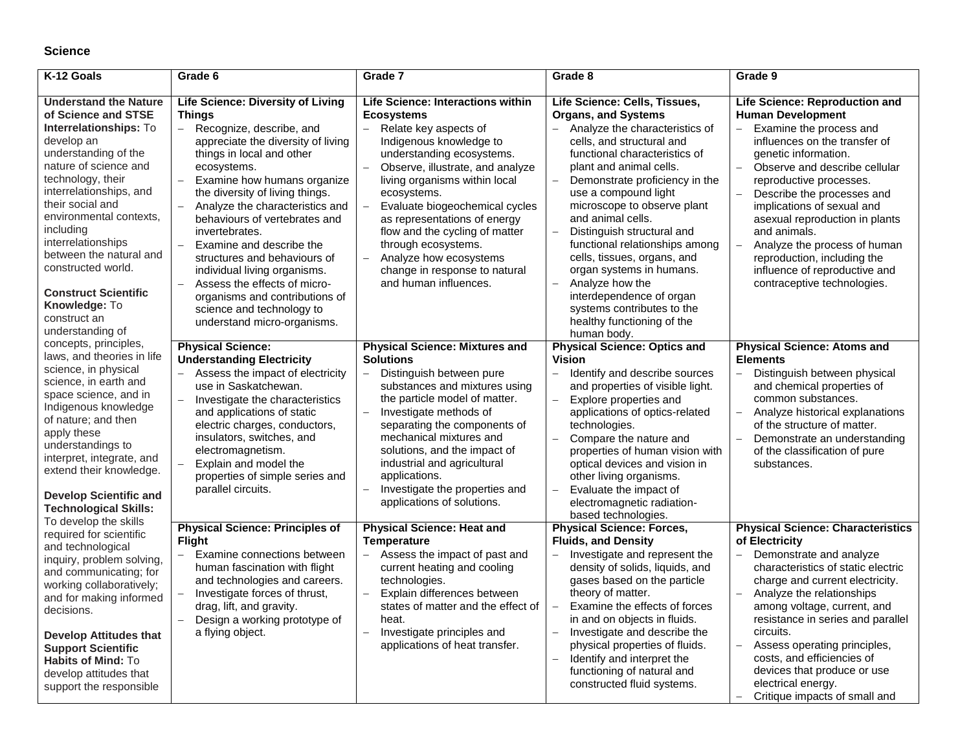## **Science**

| K-12 Goals                                                                                                                                                                                                                                                                                                                                                                                                                                                                                                                                                                                                                                                                                                                                                                                                                                                                                                                                                                                                                                                                                                     | Grade 6                                                                                                                                                                                                                                                                                                                                                                                                                                                                                                          | Grade 7                                                                                                                                                                                                                                                                                                                                                                                                                                                                            | Grade 8                                                                                                                                                                                                                                                                                                                                                                                                                                                                          | Grade 9                                                                                                                                                                                                                                                                                                                                                                                                                                                 |
|----------------------------------------------------------------------------------------------------------------------------------------------------------------------------------------------------------------------------------------------------------------------------------------------------------------------------------------------------------------------------------------------------------------------------------------------------------------------------------------------------------------------------------------------------------------------------------------------------------------------------------------------------------------------------------------------------------------------------------------------------------------------------------------------------------------------------------------------------------------------------------------------------------------------------------------------------------------------------------------------------------------------------------------------------------------------------------------------------------------|------------------------------------------------------------------------------------------------------------------------------------------------------------------------------------------------------------------------------------------------------------------------------------------------------------------------------------------------------------------------------------------------------------------------------------------------------------------------------------------------------------------|------------------------------------------------------------------------------------------------------------------------------------------------------------------------------------------------------------------------------------------------------------------------------------------------------------------------------------------------------------------------------------------------------------------------------------------------------------------------------------|----------------------------------------------------------------------------------------------------------------------------------------------------------------------------------------------------------------------------------------------------------------------------------------------------------------------------------------------------------------------------------------------------------------------------------------------------------------------------------|---------------------------------------------------------------------------------------------------------------------------------------------------------------------------------------------------------------------------------------------------------------------------------------------------------------------------------------------------------------------------------------------------------------------------------------------------------|
| <b>Understand the Nature</b><br>of Science and STSE<br>Interrelationships: To<br>develop an<br>understanding of the<br>nature of science and<br>technology, their<br>interrelationships, and<br>their social and<br>environmental contexts,<br>including<br>interrelationships<br>between the natural and<br>constructed world.<br><b>Construct Scientific</b><br>Knowledge: To<br>construct an<br>understanding of<br>concepts, principles,<br>laws, and theories in life<br>science, in physical<br>science, in earth and<br>space science, and in<br>Indigenous knowledge<br>of nature; and then<br>apply these<br>understandings to<br>interpret, integrate, and<br>extend their knowledge.<br><b>Develop Scientific and</b><br><b>Technological Skills:</b><br>To develop the skills<br>required for scientific<br>and technological<br>inquiry, problem solving,<br>and communicating; for<br>working collaboratively;<br>and for making informed<br>decisions.<br><b>Develop Attitudes that</b><br><b>Support Scientific</b><br>Habits of Mind: To<br>develop attitudes that<br>support the responsible | <b>Life Science: Diversity of Living</b><br><b>Things</b><br>Recognize, describe, and<br>$-$<br>appreciate the diversity of living<br>things in local and other<br>ecosystems.<br>Examine how humans organize<br>the diversity of living things.<br>Analyze the characteristics and<br>behaviours of vertebrates and<br>invertebrates.<br>Examine and describe the<br>$\equiv$<br>structures and behaviours of<br>individual living organisms.<br>Assess the effects of micro-<br>organisms and contributions of | Life Science: Interactions within<br><b>Ecosystems</b><br>Relate key aspects of<br>$\equiv$<br>Indigenous knowledge to<br>understanding ecosystems.<br>Observe, illustrate, and analyze<br>living organisms within local<br>ecosystems.<br>Evaluate biogeochemical cycles<br>as representations of energy<br>flow and the cycling of matter<br>through ecosystems.<br>Analyze how ecosystems<br>$\overline{\phantom{0}}$<br>change in response to natural<br>and human influences. | Life Science: Cells, Tissues,<br><b>Organs, and Systems</b><br>- Analyze the characteristics of<br>cells, and structural and<br>functional characteristics of<br>plant and animal cells.<br>Demonstrate proficiency in the<br>use a compound light<br>microscope to observe plant<br>and animal cells.<br>Distinguish structural and<br>functional relationships among<br>cells, tissues, organs, and<br>organ systems in humans.<br>Analyze how the<br>interdependence of organ | Life Science: Reproduction and<br><b>Human Development</b><br>Examine the process and<br>influences on the transfer of<br>genetic information.<br>Observe and describe cellular<br>reproductive processes.<br>Describe the processes and<br>implications of sexual and<br>asexual reproduction in plants<br>and animals.<br>Analyze the process of human<br>reproduction, including the<br>influence of reproductive and<br>contraceptive technologies. |
|                                                                                                                                                                                                                                                                                                                                                                                                                                                                                                                                                                                                                                                                                                                                                                                                                                                                                                                                                                                                                                                                                                                | science and technology to<br>understand micro-organisms.<br><b>Physical Science:</b>                                                                                                                                                                                                                                                                                                                                                                                                                             | <b>Physical Science: Mixtures and</b>                                                                                                                                                                                                                                                                                                                                                                                                                                              | systems contributes to the<br>healthy functioning of the<br>human body.<br><b>Physical Science: Optics and</b>                                                                                                                                                                                                                                                                                                                                                                   | <b>Physical Science: Atoms and</b>                                                                                                                                                                                                                                                                                                                                                                                                                      |
|                                                                                                                                                                                                                                                                                                                                                                                                                                                                                                                                                                                                                                                                                                                                                                                                                                                                                                                                                                                                                                                                                                                | <b>Understanding Electricity</b><br>Assess the impact of electricity<br>use in Saskatchewan.<br>Investigate the characteristics<br>and applications of static<br>electric charges, conductors,<br>insulators, switches, and<br>electromagnetism.<br>Explain and model the<br>properties of simple series and<br>parallel circuits.                                                                                                                                                                               | <b>Solutions</b><br>Distinguish between pure<br>substances and mixtures using<br>the particle model of matter.<br>Investigate methods of<br>$\equiv$<br>separating the components of<br>mechanical mixtures and<br>solutions, and the impact of<br>industrial and agricultural<br>applications.<br>Investigate the properties and<br>applications of solutions.                                                                                                                    | <b>Vision</b><br>Identify and describe sources<br>$-$<br>and properties of visible light.<br>Explore properties and<br>applications of optics-related<br>technologies.<br>Compare the nature and<br>properties of human vision with<br>optical devices and vision in<br>other living organisms.<br>Evaluate the impact of<br>electromagnetic radiation-<br>based technologies.                                                                                                   | <b>Elements</b><br>Distinguish between physical<br>and chemical properties of<br>common substances.<br>Analyze historical explanations<br>of the structure of matter.<br>Demonstrate an understanding<br>of the classification of pure<br>substances.                                                                                                                                                                                                   |
|                                                                                                                                                                                                                                                                                                                                                                                                                                                                                                                                                                                                                                                                                                                                                                                                                                                                                                                                                                                                                                                                                                                | <b>Physical Science: Principles of</b><br><b>Flight</b><br>Examine connections between<br>$\equiv$<br>human fascination with flight<br>and technologies and careers.<br>Investigate forces of thrust,<br>drag, lift, and gravity.<br>Design a working prototype of<br>a flying object.                                                                                                                                                                                                                           | <b>Physical Science: Heat and</b><br><b>Temperature</b><br>Assess the impact of past and<br>$\equiv$<br>current heating and cooling<br>technologies.<br>Explain differences between<br>states of matter and the effect of<br>heat.<br>Investigate principles and<br>applications of heat transfer.                                                                                                                                                                                 | <b>Physical Science: Forces,</b><br><b>Fluids, and Density</b><br>Investigate and represent the<br>density of solids, liquids, and<br>gases based on the particle<br>theory of matter.<br>Examine the effects of forces<br>in and on objects in fluids.<br>Investigate and describe the<br>$\equiv$<br>physical properties of fluids.<br>Identify and interpret the<br>functioning of natural and<br>constructed fluid systems.                                                  | <b>Physical Science: Characteristics</b><br>of Electricity<br>Demonstrate and analyze<br>$\overline{a}$<br>characteristics of static electric<br>charge and current electricity.<br>Analyze the relationships<br>among voltage, current, and<br>resistance in series and parallel<br>circuits.<br>Assess operating principles,<br>costs, and efficiencies of<br>devices that produce or use<br>electrical energy.<br>Critique impacts of small and      |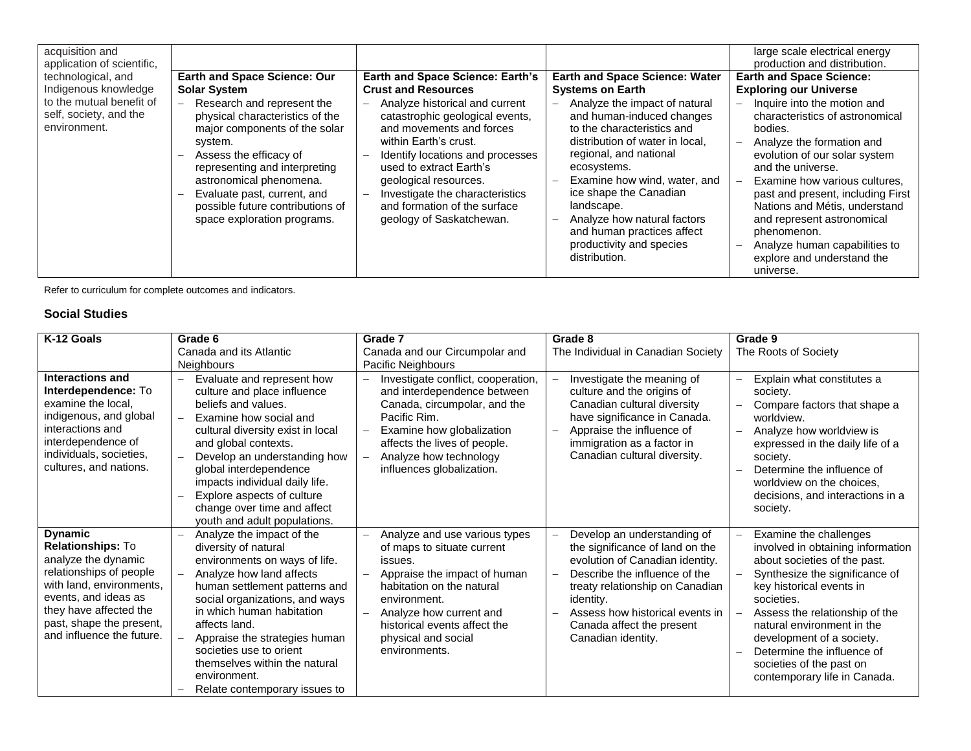| acquisition and<br>application of scientific,                                                                    |                                                                                                                                                                                                                                                                                                                                                                             |                                                                                                                                                                                                                                                                                                                                                                                        |                                                                                                                                                                                                                                                                                                                                                                                                                            | large scale electrical energy<br>production and distribution.                                                                                                                                                                                                                                                                                                                                                                                                    |
|------------------------------------------------------------------------------------------------------------------|-----------------------------------------------------------------------------------------------------------------------------------------------------------------------------------------------------------------------------------------------------------------------------------------------------------------------------------------------------------------------------|----------------------------------------------------------------------------------------------------------------------------------------------------------------------------------------------------------------------------------------------------------------------------------------------------------------------------------------------------------------------------------------|----------------------------------------------------------------------------------------------------------------------------------------------------------------------------------------------------------------------------------------------------------------------------------------------------------------------------------------------------------------------------------------------------------------------------|------------------------------------------------------------------------------------------------------------------------------------------------------------------------------------------------------------------------------------------------------------------------------------------------------------------------------------------------------------------------------------------------------------------------------------------------------------------|
| technological, and<br>Indigenous knowledge<br>to the mutual benefit of<br>self, society, and the<br>environment. | <b>Earth and Space Science: Our</b><br><b>Solar System</b><br>Research and represent the<br>$\equiv$<br>physical characteristics of the<br>major components of the solar<br>system.<br>Assess the efficacy of<br>representing and interpreting<br>astronomical phenomena.<br>Evaluate past, current, and<br>possible future contributions of<br>space exploration programs. | <b>Earth and Space Science: Earth's</b><br><b>Crust and Resources</b><br>Analyze historical and current<br>catastrophic geological events,<br>and movements and forces<br>within Earth's crust.<br>Identify locations and processes<br>used to extract Earth's<br>geological resources.<br>Investigate the characteristics<br>and formation of the surface<br>geology of Saskatchewan. | <b>Earth and Space Science: Water</b><br><b>Systems on Earth</b><br>Analyze the impact of natural<br>and human-induced changes<br>to the characteristics and<br>distribution of water in local,<br>regional, and national<br>ecosystems.<br>Examine how wind, water, and<br>ice shape the Canadian<br>landscape.<br>Analyze how natural factors<br>and human practices affect<br>productivity and species<br>distribution. | <b>Earth and Space Science:</b><br><b>Exploring our Universe</b><br>Inquire into the motion and<br>characteristics of astronomical<br>bodies.<br>Analyze the formation and<br>evolution of our solar system<br>and the universe.<br>Examine how various cultures.<br>past and present, including First<br>Nations and Métis, understand<br>and represent astronomical<br>phenomenon.<br>Analyze human capabilities to<br>explore and understand the<br>universe. |

#### **Social Studies**

| K-12 Goals                                                                                                                                                                                                                          | Grade 6                                                                                                                                                                                                                                                                                                                                                                                                                  | Grade 7                                                                                                                                                                                                                                                | Grade 8                                                                                                                                                                                                                                                                  | Grade 9                                                                                                                                                                                                                                                                                                                                                        |
|-------------------------------------------------------------------------------------------------------------------------------------------------------------------------------------------------------------------------------------|--------------------------------------------------------------------------------------------------------------------------------------------------------------------------------------------------------------------------------------------------------------------------------------------------------------------------------------------------------------------------------------------------------------------------|--------------------------------------------------------------------------------------------------------------------------------------------------------------------------------------------------------------------------------------------------------|--------------------------------------------------------------------------------------------------------------------------------------------------------------------------------------------------------------------------------------------------------------------------|----------------------------------------------------------------------------------------------------------------------------------------------------------------------------------------------------------------------------------------------------------------------------------------------------------------------------------------------------------------|
|                                                                                                                                                                                                                                     | Canada and its Atlantic                                                                                                                                                                                                                                                                                                                                                                                                  | Canada and our Circumpolar and                                                                                                                                                                                                                         | The Individual in Canadian Society                                                                                                                                                                                                                                       | The Roots of Society                                                                                                                                                                                                                                                                                                                                           |
|                                                                                                                                                                                                                                     | <b>Neighbours</b>                                                                                                                                                                                                                                                                                                                                                                                                        | Pacific Neighbours                                                                                                                                                                                                                                     |                                                                                                                                                                                                                                                                          |                                                                                                                                                                                                                                                                                                                                                                |
| Interactions and<br>Interdependence: To<br>examine the local,<br>indigenous, and global<br>interactions and<br>interdependence of<br>individuals, societies,<br>cultures, and nations.                                              | Evaluate and represent how<br>$\overline{\phantom{0}}$<br>culture and place influence<br>beliefs and values.<br>Examine how social and<br>$\overline{\phantom{0}}$<br>cultural diversity exist in local<br>and global contexts.<br>Develop an understanding how<br>global interdependence<br>impacts individual daily life.<br>Explore aspects of culture<br>change over time and affect<br>youth and adult populations. | Investigate conflict, cooperation,<br>and interdependence between<br>Canada, circumpolar, and the<br>Pacific Rim.<br>Examine how globalization<br>affects the lives of people.<br>Analyze how technology<br>influences globalization.                  | Investigate the meaning of<br>culture and the origins of<br>Canadian cultural diversity<br>have significance in Canada.<br>Appraise the influence of<br>immigration as a factor in<br>Canadian cultural diversity.                                                       | Explain what constitutes a<br>$\overline{\phantom{0}}$<br>society.<br>Compare factors that shape a<br>worldview.<br>Analyze how worldview is<br>expressed in the daily life of a<br>society.<br>Determine the influence of<br>worldview on the choices,<br>decisions, and interactions in a<br>society.                                                        |
| <b>Dynamic</b><br><b>Relationships: To</b><br>analyze the dynamic<br>relationships of people<br>with land, environments,<br>events, and ideas as<br>they have affected the<br>past, shape the present,<br>and influence the future. | Analyze the impact of the<br>diversity of natural<br>environments on ways of life.<br>Analyze how land affects<br>$\overline{\phantom{0}}$<br>human settlement patterns and<br>social organizations, and ways<br>in which human habitation<br>affects land.<br>Appraise the strategies human<br>societies use to orient<br>themselves within the natural<br>environment.<br>Relate contemporary issues to                | Analyze and use various types<br>of maps to situate current<br>issues.<br>Appraise the impact of human<br>habitation on the natural<br>environment.<br>Analyze how current and<br>historical events affect the<br>physical and social<br>environments. | Develop an understanding of<br>the significance of land on the<br>evolution of Canadian identity.<br>Describe the influence of the<br>treaty relationship on Canadian<br>identity.<br>Assess how historical events in<br>Canada affect the present<br>Canadian identity. | Examine the challenges<br>involved in obtaining information<br>about societies of the past.<br>Synthesize the significance of<br>key historical events in<br>societies.<br>Assess the relationship of the<br>natural environment in the<br>development of a society.<br>Determine the influence of<br>societies of the past on<br>contemporary life in Canada. |